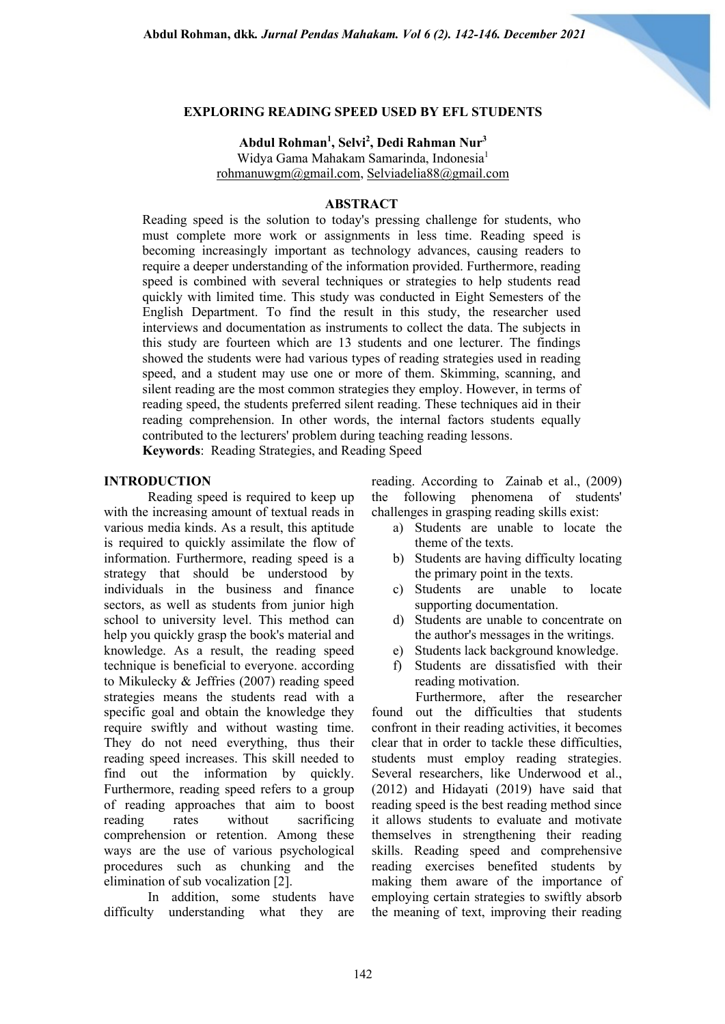

### **EXPLORING READING SPEED USED BY EFL STUDENTS**

# **Abdul Rohman1 , Selvi2 , Dedi Rahman Nur3**

Widya Gama Mahakam Samarinda, Indonesia<sup>1</sup> rohmanuwgm@gmail.com, Selviadelia88@gmail.com

#### **ABSTRACT**

Reading speed is the solution to today's pressing challenge for students, who must complete more work or assignments in less time. Reading speed is becoming increasingly important as technology advances, causing readers to require a deeper understanding of the information provided. Furthermore, reading speed is combined with several techniques or strategies to help students read quickly with limited time. This study was conducted in Eight Semesters of the English Department. To find the result in this study, the researcher used interviews and documentation as instruments to collect the data. The subjects in this study are fourteen which are 13 students and one lecturer. The findings showed the students were had various types of reading strategies used in reading speed, and a student may use one or more of them. Skimming, scanning, and silent reading are the most common strategies they employ. However, in terms of reading speed, the students preferred silent reading. These techniques aid in their reading comprehension. In other words, the internal factors students equally contributed to the lecturers' problem during teaching reading lessons.

**Keywords**: Reading Strategies, and Reading Speed

#### **INTRODUCTION**

Reading speed is required to keep up with the increasing amount of textual reads in various media kinds. As a result, this aptitude is required to quickly assimilate the flow of information. Furthermore, reading speed is a strategy that should be understood by individuals in the business and finance sectors, as well as students from junior high school to university level. This method can help you quickly grasp the book's material and knowledge. As a result, the reading speed technique is beneficial to everyone. according to Mikulecky & Jeffries (2007) reading speed strategies means the students read with a specific goal and obtain the knowledge they require swiftly and without wasting time. They do not need everything, thus their reading speed increases. This skill needed to find out the information by quickly. Furthermore, reading speed refers to a group of reading approaches that aim to boost reading rates without sacrificing comprehension or retention. Among these ways are the use of various psychological procedures such as chunking and the elimination of sub vocalization [2].

In addition, some students have difficulty understanding what they are reading. According to Zainab et al., (2009) the following phenomena of students' challenges in grasping reading skills exist:

- a) Students are unable to locate the theme of the texts.
- b) Students are having difficulty locating the primary point in the texts.
- c) Students are unable to locate supporting documentation.
- d) Students are unable to concentrate on the author's messages in the writings.
- e) Students lack background knowledge.
- f) Students are dissatisfied with their reading motivation.

Furthermore, after the researcher found out the difficulties that students confront in their reading activities, it becomes clear that in order to tackle these difficulties, students must employ reading strategies. Several researchers, like Underwood et al., (2012) and Hidayati (2019) have said that reading speed is the best reading method since it allows students to evaluate and motivate themselves in strengthening their reading skills. Reading speed and comprehensive reading exercises benefited students by making them aware of the importance of employing certain strategies to swiftly absorb the meaning of text, improving their reading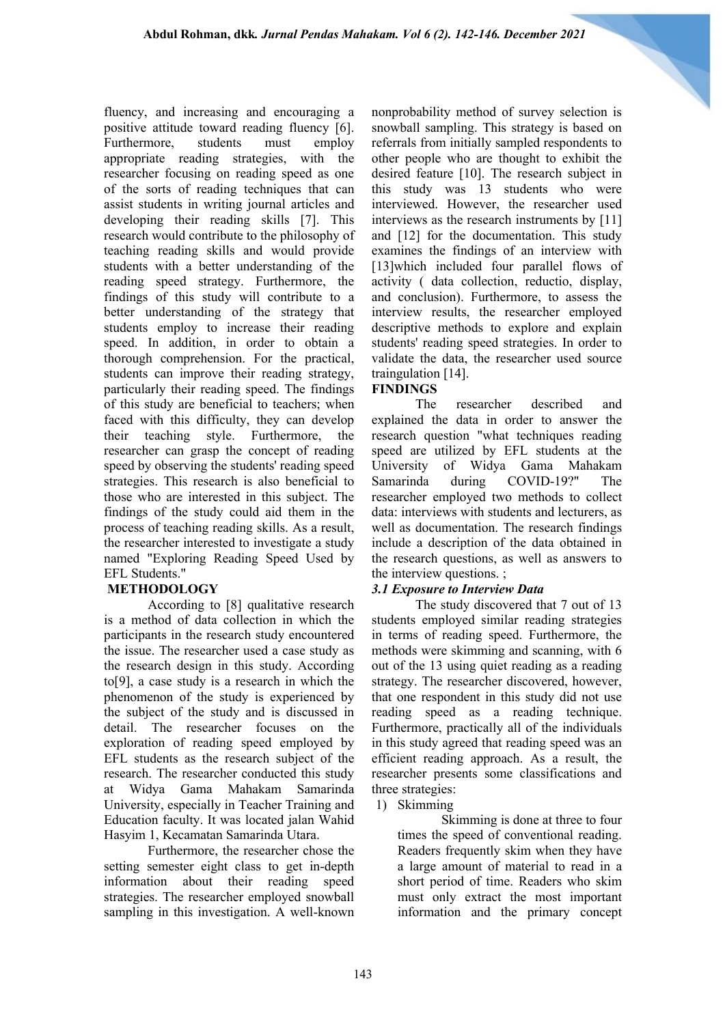fluency, and increasing and encouraging a positive attitude toward reading fluency [6]. Furthermore, students must employ appropriate reading strategies, with the researcher focusing on reading speed as one of the sorts of reading techniques that can assist students in writing journal articles and developing their reading skills [7]. This research would contribute to the philosophy of teaching reading skills and would provide students with a better understanding of the reading speed strategy. Furthermore, the findings of this study will contribute to a better understanding of the strategy that students employ to increase their reading speed. In addition, in order to obtain a thorough comprehension. For the practical, students can improve their reading strategy, particularly their reading speed. The findings of this study are beneficial to teachers; when faced with this difficulty, they can develop their teaching style. Furthermore, the researcher can grasp the concept of reading speed by observing the students' reading speed strategies. This research is also beneficial to those who are interested in this subject. The findings of the study could aid them in the process of teaching reading skills. As a result, the researcher interested to investigate a study named "Exploring Reading Speed Used by EFL Students."

# **METHODOLOGY**

According to [8] qualitative research is a method of data collection in which the participants in the research study encountered the issue. The researcher used a case study as the research design in this study. According to[9], a case study is a research in which the phenomenon of the study is experienced by the subject of the study and is discussed in detail. The researcher focuses on the exploration of reading speed employed by EFL students as the research subject of the research. The researcher conducted this study at Widya Gama Mahakam Samarinda University, especially in Teacher Training and Education faculty. It was located jalan Wahid Hasyim 1, Kecamatan Samarinda Utara.

Furthermore, the researcher chose the setting semester eight class to get in-depth information about their reading speed strategies. The researcher employed snowball sampling in this investigation. A well-known nonprobability method of survey selection is snowball sampling. This strategy is based on referrals from initially sampled respondents to other people who are thought to exhibit the desired feature [10]. The research subject in this study was 13 students who were interviewed. However, the researcher used interviews as the research instruments by [11] and [12] for the documentation. This study examines the findings of an interview with [13] which included four parallel flows of activity ( data collection, reductio, display, and conclusion). Furthermore, to assess the interview results, the researcher employed descriptive methods to explore and explain students' reading speed strategies. In order to validate the data, the researcher used source traingulation [14].

# **FINDINGS**

The researcher described and explained the data in order to answer the research question "what techniques reading speed are utilized by EFL students at the University of Widya Gama Mahakam Samarinda during COVID-19?" The researcher employed two methods to collect data: interviews with students and lecturers, as well as documentation. The research findings include a description of the data obtained in the research questions, as well as answers to the interview questions. ;

# *3.1 Exposure to Interview Data*

The study discovered that 7 out of 13 students employed similar reading strategies in terms of reading speed. Furthermore, the methods were skimming and scanning, with 6 out of the 13 using quiet reading as a reading strategy. The researcher discovered, however, that one respondent in this study did not use reading speed as a reading technique. Furthermore, practically all of the individuals in this study agreed that reading speed was an efficient reading approach. As a result, the researcher presents some classifications and three strategies:

### 1) Skimming

Skimming is done at three to four times the speed of conventional reading. Readers frequently skim when they have a large amount of material to read in a short period of time. Readers who skim must only extract the most important information and the primary concept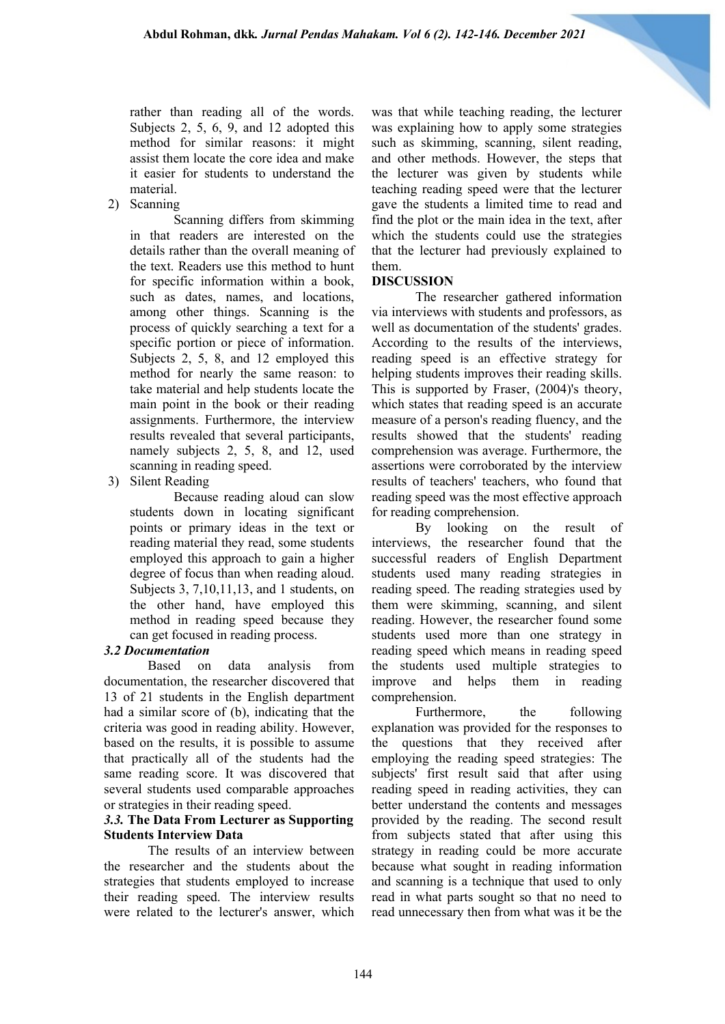rather than reading all of the words. Subjects 2, 5, 6, 9, and 12 adopted this method for similar reasons: it might assist them locate the core idea and make it easier for students to understand the material.

2) Scanning

Scanning differs from skimming in that readers are interested on the details rather than the overall meaning of the text. Readers use this method to hunt for specific information within a book, such as dates, names, and locations, among other things. Scanning is the process of quickly searching a text for a specific portion or piece of information. Subjects 2, 5, 8, and 12 employed this method for nearly the same reason: to take material and help students locate the main point in the book or their reading assignments. Furthermore, the interview results revealed that several participants, namely subjects 2, 5, 8, and 12, used scanning in reading speed.

3) Silent Reading

Because reading aloud can slow students down in locating significant points or primary ideas in the text or reading material they read, some students employed this approach to gain a higher degree of focus than when reading aloud. Subjects 3, 7,10,11,13, and 1 students, on the other hand, have employed this method in reading speed because they can get focused in reading process.

### *3.2 Documentation*

Based on data analysis from documentation, the researcher discovered that 13 of 21 students in the English department had a similar score of (b), indicating that the criteria was good in reading ability. However, based on the results, it is possible to assume that practically all of the students had the same reading score. It was discovered that several students used comparable approaches or strategies in their reading speed.

### *3.3.* **The Data From Lecturer as Supporting Students Interview Data**

The results of an interview between the researcher and the students about the strategies that students employed to increase their reading speed. The interview results were related to the lecturer's answer, which was that while teaching reading, the lecturer was explaining how to apply some strategies such as skimming, scanning, silent reading, and other methods. However, the steps that the lecturer was given by students while teaching reading speed were that the lecturer gave the students a limited time to read and find the plot or the main idea in the text, after which the students could use the strategies that the lecturer had previously explained to them.

### **DISCUSSION**

The researcher gathered information via interviews with students and professors, as well as documentation of the students' grades. According to the results of the interviews, reading speed is an effective strategy for helping students improves their reading skills. This is supported by Fraser, (2004)'s theory, which states that reading speed is an accurate measure of a person's reading fluency, and the results showed that the students' reading comprehension was average. Furthermore, the assertions were corroborated by the interview results of teachers' teachers, who found that reading speed was the most effective approach for reading comprehension.

By looking on the result of interviews, the researcher found that the successful readers of English Department students used many reading strategies in reading speed. The reading strategies used by them were skimming, scanning, and silent reading. However, the researcher found some students used more than one strategy in reading speed which means in reading speed the students used multiple strategies to improve and helps them in reading comprehension.

Furthermore, the following explanation was provided for the responses to the questions that they received after employing the reading speed strategies: The subjects' first result said that after using reading speed in reading activities, they can better understand the contents and messages provided by the reading. The second result from subjects stated that after using this strategy in reading could be more accurate because what sought in reading information and scanning is a technique that used to only read in what parts sought so that no need to read unnecessary then from what was it be the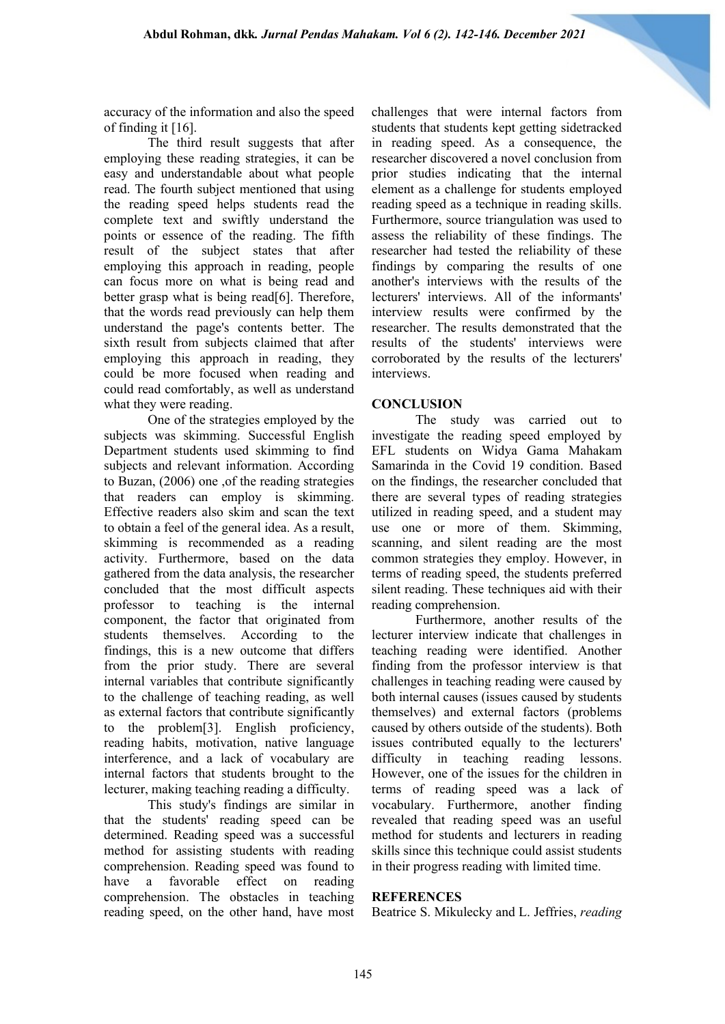accuracy of the information and also the speed of finding it [16].

The third result suggests that after employing these reading strategies, it can be easy and understandable about what people read. The fourth subject mentioned that using the reading speed helps students read the complete text and swiftly understand the points or essence of the reading. The fifth result of the subject states that after employing this approach in reading, people can focus more on what is being read and better grasp what is being read[6]. Therefore, that the words read previously can help them understand the page's contents better. The sixth result from subjects claimed that after employing this approach in reading, they could be more focused when reading and could read comfortably, as well as understand what they were reading.

One of the strategies employed by the subjects was skimming. Successful English Department students used skimming to find subjects and relevant information. According to Buzan, (2006) one ,of the reading strategies that readers can employ is skimming. Effective readers also skim and scan the text to obtain a feel of the general idea. As a result, skimming is recommended as a reading activity. Furthermore, based on the data gathered from the data analysis, the researcher concluded that the most difficult aspects professor to teaching is the internal component, the factor that originated from students themselves. According to the findings, this is a new outcome that differs from the prior study. There are several internal variables that contribute significantly to the challenge of teaching reading, as well as external factors that contribute significantly to the problem[3]. English proficiency, reading habits, motivation, native language interference, and a lack of vocabulary are internal factors that students brought to the lecturer, making teaching reading a difficulty.

This study's findings are similar in that the students' reading speed can be determined. Reading speed was a successful method for assisting students with reading comprehension. Reading speed was found to have a favorable effect on reading comprehension. The obstacles in teaching reading speed, on the other hand, have most challenges that were internal factors from students that students kept getting sidetracked in reading speed. As a consequence, the researcher discovered a novel conclusion from prior studies indicating that the internal element as a challenge for students employed reading speed as a technique in reading skills. Furthermore, source triangulation was used to assess the reliability of these findings. The researcher had tested the reliability of these findings by comparing the results of one another's interviews with the results of the lecturers' interviews. All of the informants' interview results were confirmed by the researcher. The results demonstrated that the results of the students' interviews were corroborated by the results of the lecturers' interviews.

### **CONCLUSION**

The study was carried out to investigate the reading speed employed by EFL students on Widya Gama Mahakam Samarinda in the Covid 19 condition. Based on the findings, the researcher concluded that there are several types of reading strategies utilized in reading speed, and a student may use one or more of them. Skimming, scanning, and silent reading are the most common strategies they employ. However, in terms of reading speed, the students preferred silent reading. These techniques aid with their reading comprehension.

Furthermore, another results of the lecturer interview indicate that challenges in teaching reading were identified. Another finding from the professor interview is that challenges in teaching reading were caused by both internal causes (issues caused by students themselves) and external factors (problems caused by others outside of the students). Both issues contributed equally to the lecturers' difficulty in teaching reading lessons. However, one of the issues for the children in terms of reading speed was a lack of vocabulary. Furthermore, another finding revealed that reading speed was an useful method for students and lecturers in reading skills since this technique could assist students in their progress reading with limited time.

### **REFERENCES**

Beatrice S. Mikulecky and L. Jeffries, *reading*